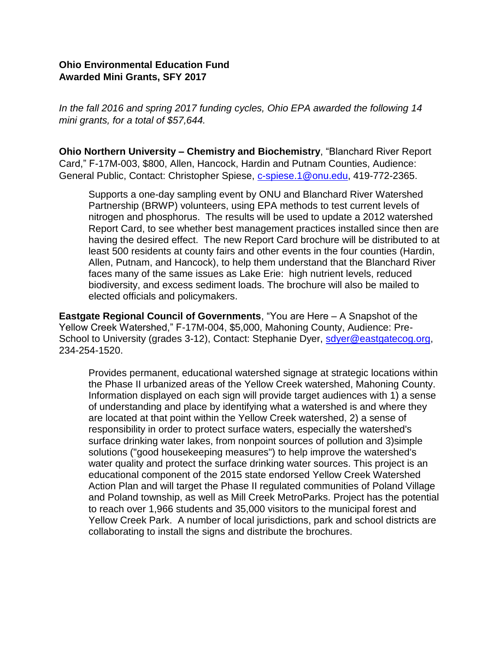## **Ohio Environmental Education Fund Awarded Mini Grants, SFY 2017**

*In the fall 2016 and spring 2017 funding cycles, Ohio EPA awarded the following 14 mini grants, for a total of \$57,644.*

**Ohio Northern University – Chemistry and Biochemistry**, "Blanchard River Report Card," F-17M-003, \$800, Allen, Hancock, Hardin and Putnam Counties, Audience: General Public, Contact: Christopher Spiese, [c-spiese.1@onu.edu,](mailto:c-spiese.1@onu.edu) 419-772-2365.

Supports a one-day sampling event by ONU and Blanchard River Watershed Partnership (BRWP) volunteers, using EPA methods to test current levels of nitrogen and phosphorus. The results will be used to update a 2012 watershed Report Card, to see whether best management practices installed since then are having the desired effect. The new Report Card brochure will be distributed to at least 500 residents at county fairs and other events in the four counties (Hardin, Allen, Putnam, and Hancock), to help them understand that the Blanchard River faces many of the same issues as Lake Erie: high nutrient levels, reduced biodiversity, and excess sediment loads. The brochure will also be mailed to elected officials and policymakers.

**Eastgate Regional Council of Governments**, "You are Here – A Snapshot of the Yellow Creek Watershed," F-17M-004, \$5,000, Mahoning County, Audience: PreSchool to University (grades 3-12), Contact: Stephanie Dyer, [sdyer@eastgatecog.org,](mailto:sdyer@eastgatecog.org) 234-254-1520.

Provides permanent, educational watershed signage at strategic locations within the Phase II urbanized areas of the Yellow Creek watershed, Mahoning County. Information displayed on each sign will provide target audiences with 1) a sense of understanding and place by identifying what a watershed is and where they are located at that point within the Yellow Creek watershed, 2) a sense of responsibility in order to protect surface waters, especially the watershed's surface drinking water lakes, from nonpoint sources of pollution and 3)simple solutions ("good housekeeping measures") to help improve the watershed's water quality and protect the surface drinking water sources. This project is an educational component of the 2015 state endorsed Yellow Creek Watershed Action Plan and will target the Phase II regulated communities of Poland Village and Poland township, as well as Mill Creek MetroParks. Project has the potential to reach over 1,966 students and 35,000 visitors to the municipal forest and Yellow Creek Park. A number of local jurisdictions, park and school districts are collaborating to install the signs and distribute the brochures.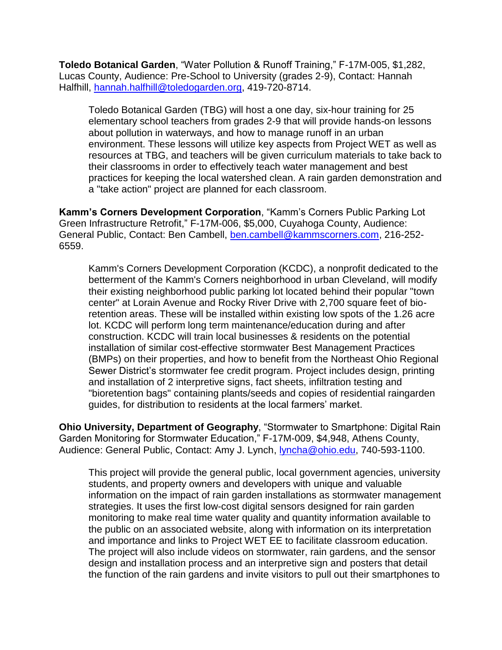**Toledo Botanical Garden**, "Water Pollution & Runoff Training," F-17M-005, \$1,282, Lucas County, Audience: Pre-School to University (grades 2-9), Contact: Hannah Halfhill, [hannah.halfhill@toledogarden.org,](mailto:hannah.halfhill@toledogarden.org) 419-720-8714.

Toledo Botanical Garden (TBG) will host a one day, six-hour training for 25 elementary school teachers from grades 2-9 that will provide hands-on lessons about pollution in waterways, and how to manage runoff in an urban environment. These lessons will utilize key aspects from Project WET as well as resources at TBG, and teachers will be given curriculum materials to take back to their classrooms in order to effectively teach water management and best practices for keeping the local watershed clean. A rain garden demonstration and a "take action" project are planned for each classroom.

**Kamm's Corners Development Corporation**, "Kamm's Corners Public Parking Lot Green Infrastructure Retrofit," F-17M-006, \$5,000, Cuyahoga County, Audience: General Public, Contact: Ben Cambell, [ben.cambell@kammscorners.com,](mailto:ben.cambell@kammscorners.com) 216-252- 6559.

Kamm's Corners Development Corporation (KCDC), a nonprofit dedicated to the betterment of the Kamm's Corners neighborhood in urban Cleveland, will modify their existing neighborhood public parking lot located behind their popular "town center" at Lorain Avenue and Rocky River Drive with 2,700 square feet of bioretention areas. These will be installed within existing low spots of the 1.26 acre lot. KCDC will perform long term maintenance/education during and after construction. KCDC will train local businesses & residents on the potential installation of similar cost-effective stormwater Best Management Practices (BMPs) on their properties, and how to benefit from the Northeast Ohio Regional Sewer District's stormwater fee credit program. Project includes design, printing and installation of 2 interpretive signs, fact sheets, infiltration testing and "bioretention bags" containing plants/seeds and copies of residential raingarden guides, for distribution to residents at the local farmers' market.

**Ohio University, Department of Geography**, "Stormwater to Smartphone: Digital Rain Garden Monitoring for Stormwater Education," F-17M-009, \$4,948, Athens County, Audience: General Public, Contact: Amy J. Lynch, [lyncha@ohio.edu,](mailto:lyncha@ohio.edu) 740-593-1100.

This project will provide the general public, local government agencies, university students, and property owners and developers with unique and valuable information on the impact of rain garden installations as stormwater management strategies. It uses the first low-cost digital sensors designed for rain garden monitoring to make real time water quality and quantity information available to the public on an associated website, along with information on its interpretation and importance and links to Project WET EE to facilitate classroom education. The project will also include videos on stormwater, rain gardens, and the sensor design and installation process and an interpretive sign and posters that detail the function of the rain gardens and invite visitors to pull out their smartphones to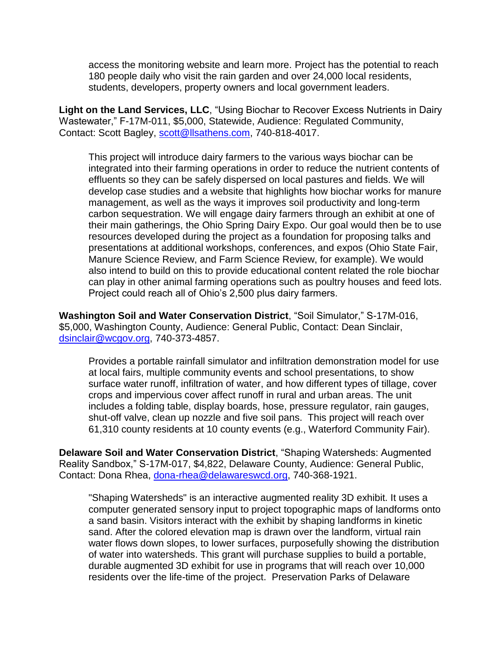access the monitoring website and learn more. Project has the potential to reach 180 people daily who visit the rain garden and over 24,000 local residents, students, developers, property owners and local government leaders.

**Light on the Land Services, LLC**, "Using Biochar to Recover Excess Nutrients in Dairy Wastewater," F-17M-011, \$5,000, Statewide, Audience: Regulated Community, Contact: Scott Bagley, [scott@llsathens.com,](mailto:scott@llsathens.com) 740-818-4017.

This project will introduce dairy farmers to the various ways biochar can be integrated into their farming operations in order to reduce the nutrient contents of effluents so they can be safely dispersed on local pastures and fields. We will develop case studies and a website that highlights how biochar works for manure management, as well as the ways it improves soil productivity and long-term carbon sequestration. We will engage dairy farmers through an exhibit at one of their main gatherings, the Ohio Spring Dairy Expo. Our goal would then be to use resources developed during the project as a foundation for proposing talks and presentations at additional workshops, conferences, and expos (Ohio State Fair, Manure Science Review, and Farm Science Review, for example). We would also intend to build on this to provide educational content related the role biochar can play in other animal farming operations such as poultry houses and feed lots. Project could reach all of Ohio's 2,500 plus dairy farmers.

**Washington Soil and Water Conservation District**, "Soil Simulator," S-17M-016, \$5,000, Washington County, Audience: General Public, Contact: Dean Sinclair, [dsinclair@wcgov.org,](mailto:dsinclair@wcgov.org) 740-373-4857.

Provides a portable rainfall simulator and infiltration demonstration model for use at local fairs, multiple community events and school presentations, to show surface water runoff, infiltration of water, and how different types of tillage, cover crops and impervious cover affect runoff in rural and urban areas. The unit includes a folding table, display boards, hose, pressure regulator, rain gauges, shut-off valve, clean up nozzle and five soil pans. This project will reach over 61,310 county residents at 10 county events (e.g., Waterford Community Fair).

**Delaware Soil and Water Conservation District**, "Shaping Watersheds: Augmented Reality Sandbox," S-17M-017, \$4,822, Delaware County, Audience: General Public, Contact: Dona Rhea, [dona-rhea@delawareswcd.org,](mailto:dona-rhea@delawareswcd.org) 740-368-1921.

"Shaping Watersheds" is an interactive augmented reality 3D exhibit. It uses a computer generated sensory input to project topographic maps of landforms onto a sand basin. Visitors interact with the exhibit by shaping landforms in kinetic sand. After the colored elevation map is drawn over the landform, virtual rain water flows down slopes, to lower surfaces, purposefully showing the distribution of water into watersheds. This grant will purchase supplies to build a portable, durable augmented 3D exhibit for use in programs that will reach over 10,000 residents over the life-time of the project. Preservation Parks of Delaware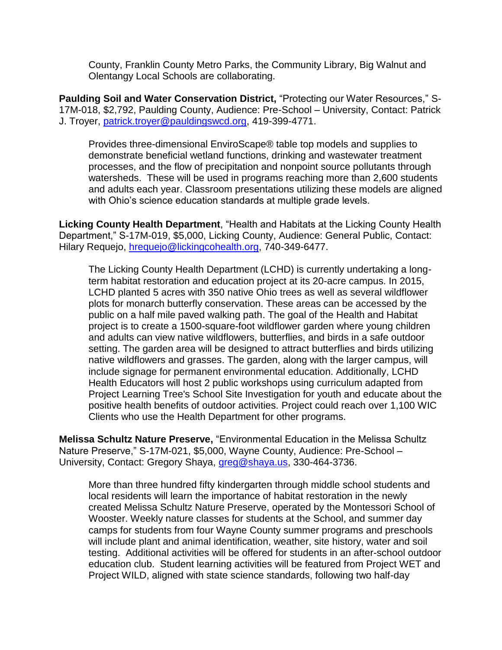County, Franklin County Metro Parks, the Community Library, Big Walnut and Olentangy Local Schools are collaborating.

**Paulding Soil and Water Conservation District,** "Protecting our Water Resources," S-17M-018, \$2,792, Paulding County, Audience: Pre-School – University, Contact: Patrick J. Troyer, [patrick.troyer@pauldingswcd.org,](mailto:patrick.troyer@pauldingswcd.org) 419-399-4771.

Provides three-dimensional EnviroScape® table top models and supplies to demonstrate beneficial wetland functions, drinking and wastewater treatment processes, and the flow of precipitation and nonpoint source pollutants through watersheds. These will be used in programs reaching more than 2,600 students and adults each year. Classroom presentations utilizing these models are aligned with Ohio's science education standards at multiple grade levels.

**Licking County Health Department**, "Health and Habitats at the Licking County Health Department," S-17M-019, \$5,000, Licking County, Audience: General Public, Contact: Hilary Requejo, [hrequejo@lickingcohealth.org,](mailto:hrequejo@lickingcohealth.org) 740-349-6477.

The Licking County Health Department (LCHD) is currently undertaking a longterm habitat restoration and education project at its 20-acre campus. In 2015, LCHD planted 5 acres with 350 native Ohio trees as well as several wildflower plots for monarch butterfly conservation. These areas can be accessed by the public on a half mile paved walking path. The goal of the Health and Habitat project is to create a 1500-square-foot wildflower garden where young children and adults can view native wildflowers, butterflies, and birds in a safe outdoor setting. The garden area will be designed to attract butterflies and birds utilizing native wildflowers and grasses. The garden, along with the larger campus, will include signage for permanent environmental education. Additionally, LCHD Health Educators will host 2 public workshops using curriculum adapted from Project Learning Tree's School Site Investigation for youth and educate about the positive health benefits of outdoor activities. Project could reach over 1,100 WIC Clients who use the Health Department for other programs.

**Melissa Schultz Nature Preserve,** "Environmental Education in the Melissa Schultz Nature Preserve," S-17M-021, \$5,000, Wayne County, Audience: Pre-School – University, Contact: Gregory Shaya, [greg@shaya.us,](mailto:greg@shaya.us) 330-464-3736.

More than three hundred fifty kindergarten through middle school students and local residents will learn the importance of habitat restoration in the newly created Melissa Schultz Nature Preserve, operated by the Montessori School of Wooster. Weekly nature classes for students at the School, and summer day camps for students from four Wayne County summer programs and preschools will include plant and animal identification, weather, site history, water and soil testing. Additional activities will be offered for students in an after-school outdoor education club. Student learning activities will be featured from Project WET and Project WILD, aligned with state science standards, following two half-day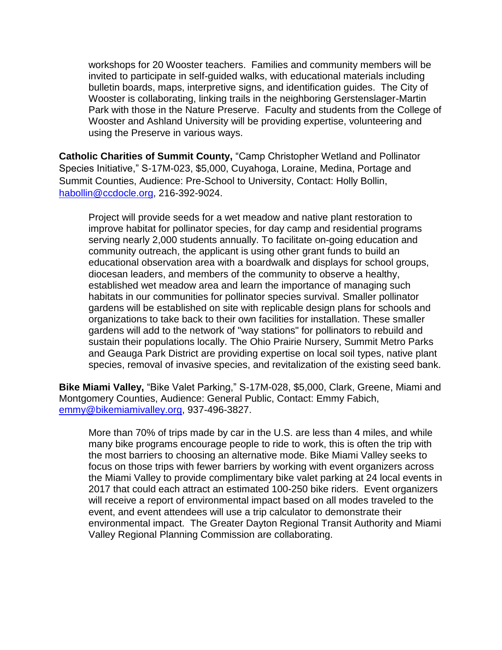workshops for 20 Wooster teachers. Families and community members will be invited to participate in self-guided walks, with educational materials including bulletin boards, maps, interpretive signs, and identification guides. The City of Wooster is collaborating, linking trails in the neighboring Gerstenslager-Martin Park with those in the Nature Preserve. Faculty and students from the College of Wooster and Ashland University will be providing expertise, volunteering and using the Preserve in various ways.

**Catholic Charities of Summit County,** "Camp Christopher Wetland and Pollinator Species Initiative," S-17M-023, \$5,000, Cuyahoga, Loraine, Medina, Portage and Summit Counties, Audience: Pre-School to University, Contact: Holly Bollin, [habollin@ccdocle.org,](mailto:habollin@ccdocle.org) 216-392-9024.

Project will provide seeds for a wet meadow and native plant restoration to improve habitat for pollinator species, for day camp and residential programs serving nearly 2,000 students annually. To facilitate on-going education and community outreach, the applicant is using other grant funds to build an educational observation area with a boardwalk and displays for school groups, diocesan leaders, and members of the community to observe a healthy, established wet meadow area and learn the importance of managing such habitats in our communities for pollinator species survival. Smaller pollinator gardens will be established on site with replicable design plans for schools and organizations to take back to their own facilities for installation. These smaller gardens will add to the network of "way stations" for pollinators to rebuild and sustain their populations locally. The Ohio Prairie Nursery, Summit Metro Parks and Geauga Park District are providing expertise on local soil types, native plant species, removal of invasive species, and revitalization of the existing seed bank.

**Bike Miami Valley,** "Bike Valet Parking," S-17M-028, \$5,000, Clark, Greene, Miami and Montgomery Counties, Audience: General Public, Contact: Emmy Fabich, [emmy@bikemiamivalley.org,](mailto:emmy@bikemiamivalley.org) 937-496-3827.

More than 70% of trips made by car in the U.S. are less than 4 miles, and while many bike programs encourage people to ride to work, this is often the trip with the most barriers to choosing an alternative mode. Bike Miami Valley seeks to focus on those trips with fewer barriers by working with event organizers across the Miami Valley to provide complimentary bike valet parking at 24 local events in 2017 that could each attract an estimated 100-250 bike riders. Event organizers will receive a report of environmental impact based on all modes traveled to the event, and event attendees will use a trip calculator to demonstrate their environmental impact. The Greater Dayton Regional Transit Authority and Miami Valley Regional Planning Commission are collaborating.